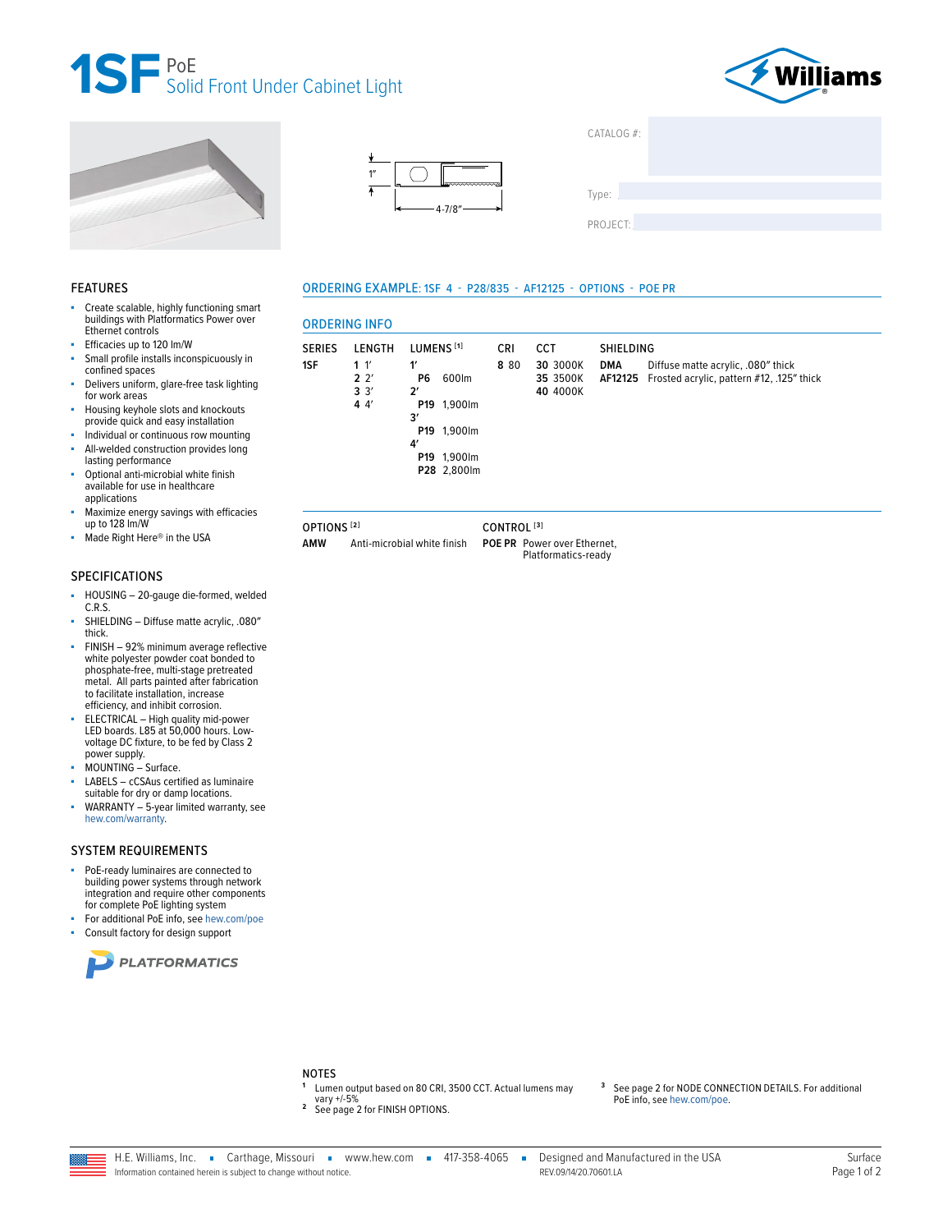







ORDERING EXAMPLE: 1SF 4 - P28/835 - AF12125 - OPTIONS - POE PR

| CAIALOG#: |  |  |
|-----------|--|--|
|           |  |  |
|           |  |  |
| Type:     |  |  |
|           |  |  |
| PROJECT:  |  |  |
|           |  |  |

#### **FEATURES**

- Create scalable, highly functioning smart buildings with Platformatics Power over Ethernet controls
- Efficacies up to 120 lm/W
- Small profile installs inconspicuously in confined spaces
- à. Delivers uniform, glare-free task lighting for work areas
- Housing keyhole slots and knockouts ä, provide quick and easy installation
- Individual or continuous row mounting All-welded construction provides long
- lasting performance Optional anti-microbial white finish available for use in healthcare applications
- Maximize energy savings with efficacies<br>up to 128 lm/W Î.
- Made Right Here® in the USA

#### **SPECIFICATIONS**

- HOUSING 20-gauge die-formed, welded ä,  $C.R.S.$
- SHIELDING Diffuse matte acrylic, .080" thick.
- à. FINISH - 92% minimum average reflective white polyester powder coat bonded to<br>phosphate-free, multi-stage pretreated<br>metal. All parts painted after fabrication to facilitate installation, increase efficiency, and inhibit corrosion.
- ELECTRICAL High quality mid-power LED boards. L85 at 50,000 hours. Lowvoltage DC fixture, to be fed by Class 2 power supply.
- MOUNTING Surface.
- LABELS cCSAus certified as luminaire suitable for dry or damp locations.
- WARRANTY 5-year limited warranty, see hew.com/warranty.

#### **SYSTEM REQUIREMENTS**

- PoE-ready luminaires are connected to building power systems through network integration and require other components for complete PoE lighting system
- For additional PoE info, see hew.com/poe
- Consult factory for design support





OPTIONS<sup>[2]</sup>

**AMW** Anti-microbial white finish CONTROL<sup>[3]</sup>

POE PR Power over Ethernet. Platformatics-ready

# **NOTES**

- Lumen output based on 80 CRI, 3500 CCT. Actual lumens may
- vary +/-5% <sup>2</sup> See page 2 for FINISH OPTIONS.

3 See page 2 for NODE CONNECTION DETAILS. For additional PoE info, see hew.com/poe.